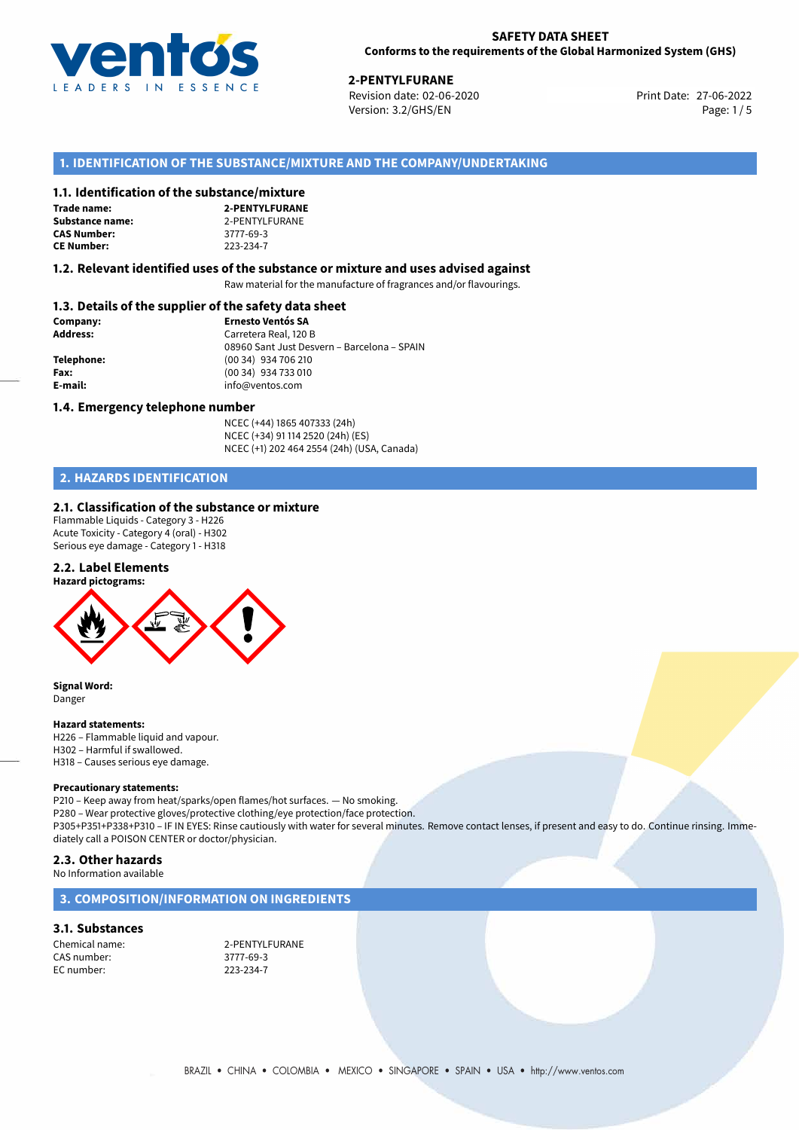

27-06-2022 **2-PENTYLFURANE** Revision date: 02-06-2020 Print Date: Version: 3.2/GHS/EN Page: 1/5

# **1. IDENTIFICATION OF THE SUBSTANCE/MIXTURE AND THE COMPANY/UNDERTAKING**

#### **1.1. Identification of the substance/mixture**

| Trade name:        |
|--------------------|
| Substance name     |
| <b>CAS Number:</b> |
| <b>CE Number:</b>  |

**2-PENTYLFURANE Substance 12-PENTYLFURANE CAS Number:** 3777-69-3 **CE Number:** 223-234-7

#### **1.2. Relevant identified uses of the substance or mixture and uses advised against**

Raw material for the manufacture of fragrances and/or flavourings.

# **1.3. Details of the supplier of the safety data sheet**

| Company:        | <b>Ernesto Ventós SA</b>                    |  |
|-----------------|---------------------------------------------|--|
| <b>Address:</b> | Carretera Real, 120 B                       |  |
|                 | 08960 Sant Just Desvern - Barcelona - SPAIN |  |
| Telephone:      | (00 34) 934 706 210                         |  |
| Fax:            | (00 34) 934 733 010                         |  |
| E-mail:         | info@ventos.com                             |  |
|                 |                                             |  |

#### **1.4. Emergency telephone number**

NCEC (+44) 1865 407333 (24h) NCEC (+34) 91 114 2520 (24h) (ES) NCEC (+1) 202 464 2554 (24h) (USA, Canada)

# **2. HAZARDS IDENTIFICATION**

#### **2.1. Classification of the substance or mixture**

Flammable Liquids - Category 3 - H226 Acute Toxicity - Category 4 (oral) - H302 Serious eye damage - Category 1 - H318

#### **2.2. Label Elements**



**Signal Word:** Danger

#### **Hazard statements:**

H226 – Flammable liquid and vapour. H302 – Harmful if swallowed. H318 – Causes serious eye damage.

#### **Precautionary statements:**

P210 – Keep away from heat/sparks/open flames/hot surfaces. — No smoking. P280 – Wear protective gloves/protective clothing/eye protection/face protection. P305+P351+P338+P310 – IF IN EYES: Rinse cautiously with water for several minutes. Remove contact lenses, if present and easy to do. Continue rinsing. Immediately call a POISON CENTER or doctor/physician.

# **2.3. Other hazards**

No Information available

#### **3. COMPOSITION/INFORMATION ON INGREDIENTS**

#### **3.1. Substances**

CAS number: 3777-69-3<br>
FC number: 223-234-7 EC number:

Chemical name: 2-PENTYLFURANE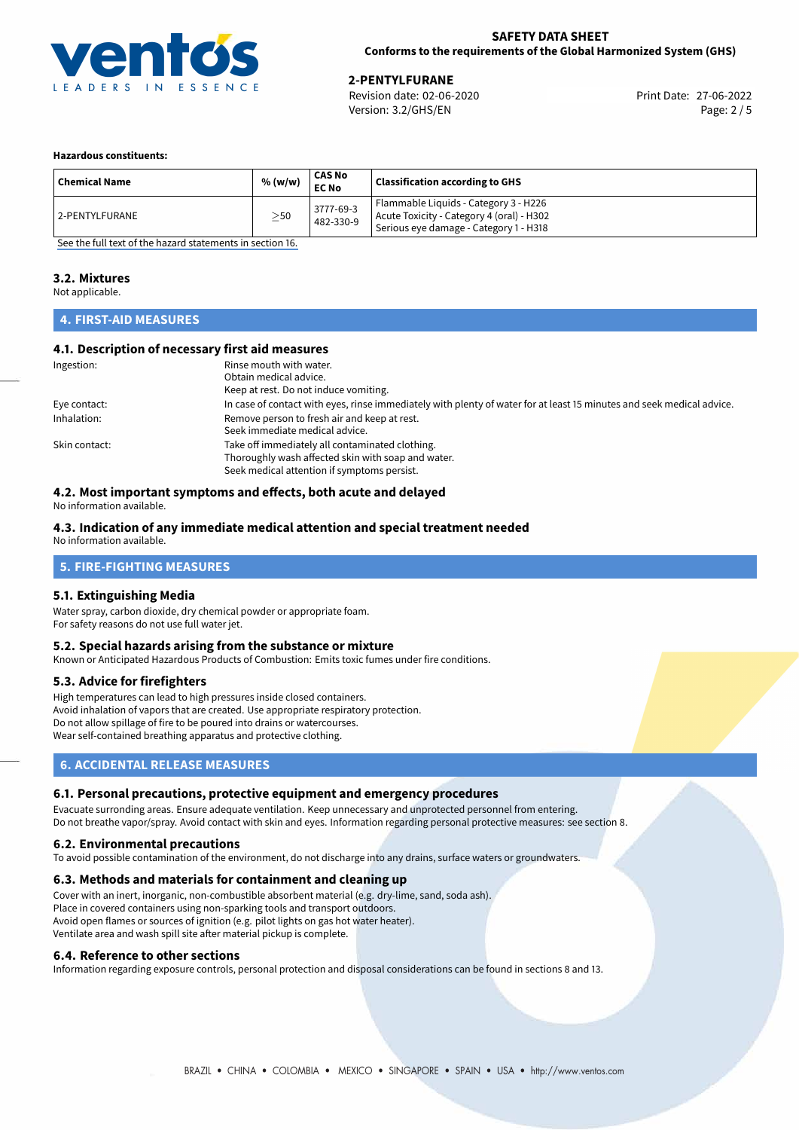

# **2-PENTYLFURANE**<br>
Revision date: 02-06-2020<br> **27-06-2022** Print Date: 27-06-2022

Revision date: 02-06-2020 Version: 3.2/GHS/EN Page: 2 / 5

#### **Hazardous constituents:**

| <b>Chemical Name</b> | % (w/w)   | CAS No<br><b>EC No</b> | <b>Classification according to GHS</b>                                                                                       |
|----------------------|-----------|------------------------|------------------------------------------------------------------------------------------------------------------------------|
| 12-PENTYLFURANE      | $\geq$ 50 | 3777-69-3<br>482-330-9 | Flammable Liquids - Category 3 - H226<br>Acute Toxicity - Category 4 (oral) - H302<br>Serious eye damage - Category 1 - H318 |

[See the full text of the hazard statements in section 16.](#page-4-0)

#### **3.2. Mixtures**

Not applicable.

## **4. FIRST-AID MEASURES**

#### **4.1. Description of necessary first aid measures**

| Ingestion:    | Rinse mouth with water.                                                                                               |  |  |
|---------------|-----------------------------------------------------------------------------------------------------------------------|--|--|
|               | Obtain medical advice.                                                                                                |  |  |
|               | Keep at rest. Do not induce vomiting.                                                                                 |  |  |
| Eye contact:  | In case of contact with eyes, rinse immediately with plenty of water for at least 15 minutes and seek medical advice. |  |  |
| Inhalation:   | Remove person to fresh air and keep at rest.                                                                          |  |  |
|               | Seek immediate medical advice.                                                                                        |  |  |
| Skin contact: | Take off immediately all contaminated clothing.                                                                       |  |  |
|               | Thoroughly wash affected skin with soap and water.                                                                    |  |  |
|               | Seek medical attention if symptoms persist.                                                                           |  |  |

## **4.2. Most important symptoms and effects, both acute and delayed**

No information available.

#### **4.3. Indication of any immediate medical attention and special treatment needed**

No information available.

# **5. FIRE-FIGHTING MEASURES**

#### **5.1. Extinguishing Media**

Water spray, carbon dioxide, dry chemical powder or appropriate foam. For safety reasons do not use full water jet.

#### **5.2. Special hazards arising from the substance or mixture**

Known or Anticipated Hazardous Products of Combustion: Emits toxic fumes under fire conditions.

#### **5.3. Advice for firefighters**

High temperatures can lead to high pressures inside closed containers. Avoid inhalation of vapors that are created. Use appropriate respiratory protection. Do not allow spillage of fire to be poured into drains or watercourses. Wear self-contained breathing apparatus and protective clothing.

### **6. ACCIDENTAL RELEASE MEASURES**

#### **6.1. Personal precautions, protective equipment and emergency procedures**

Evacuate surronding areas. Ensure adequate ventilation. Keep unnecessary and unprotected personnel from entering. Do not breathe vapor/spray. Avoid contact with skin and eyes. Information regarding personal protective measures: see section 8.

#### **6.2. Environmental precautions**

To avoid possible contamination of the environment, do not discharge into any drains, surface waters or groundwaters.

#### **6.3. Methods and materials for containment and cleaning up**

Cover with an inert, inorganic, non-combustible absorbent material (e.g. dry-lime, sand, soda ash). Place in covered containers using non-sparking tools and transport outdoors. Avoid open flames or sources of ignition (e.g. pilot lights on gas hot water heater). Ventilate area and wash spill site after material pickup is complete.

#### **6.4. Reference to other sections**

Information regarding exposure controls, personal protection and disposal considerations can be found in sections 8 and 13.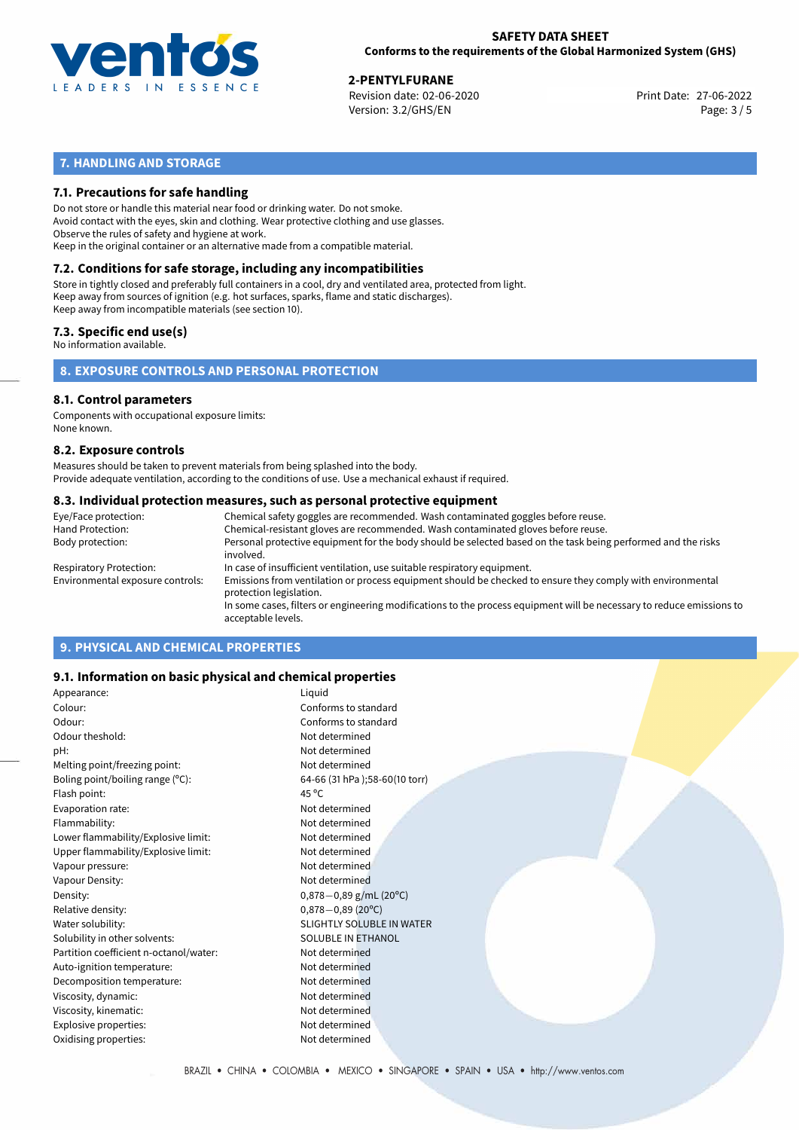

27-06-2022 **2-PENTYLFURANE** Revision date: 02-06-2020 Print Date: Version: 3.2/GHS/EN Page: 3 / 5

# **7. HANDLING AND STORAGE**

### **7.1. Precautions for safe handling**

Do not store or handle this material near food or drinking water. Do not smoke. Avoid contact with the eyes, skin and clothing. Wear protective clothing and use glasses. Observe the rules of safety and hygiene at work. Keep in the original container or an alternative made from a compatible material.

# **7.2. Conditions for safe storage, including any incompatibilities**

Store in tightly closed and preferably full containers in a cool, dry and ventilated area, protected from light. Keep away from sources of ignition (e.g. hot surfaces, sparks, flame and static discharges). Keep away from incompatible materials (see section 10).

#### **7.3. Specific end use(s)**

No information available.

**8. EXPOSURE CONTROLS AND PERSONAL PROTECTION**

# **8.1. Control parameters**

Components with occupational exposure limits: None known.

#### **8.2. Exposure controls**

Measures should be taken to prevent materials from being splashed into the body. Provide adequate ventilation, according to the conditions of use. Use a mechanical exhaust if required.

#### **8.3. Individual protection measures, such as personal protective equipment**

| Eye/Face protection:             | Chemical safety goggles are recommended. Wash contaminated goggles before reuse.                                                            |  |  |  |  |
|----------------------------------|---------------------------------------------------------------------------------------------------------------------------------------------|--|--|--|--|
| Hand Protection:                 | Chemical-resistant gloves are recommended. Wash contaminated gloves before reuse.                                                           |  |  |  |  |
| Body protection:                 | Personal protective equipment for the body should be selected based on the task being performed and the risks<br>involved.                  |  |  |  |  |
| Respiratory Protection:          | In case of insufficient ventilation, use suitable respiratory equipment.                                                                    |  |  |  |  |
| Environmental exposure controls: | Emissions from ventilation or process equipment should be checked to ensure they comply with environmental<br>protection legislation.       |  |  |  |  |
|                                  | In some cases, filters or engineering modifications to the process equipment will be necessary to reduce emissions to<br>acceptable levels. |  |  |  |  |
|                                  |                                                                                                                                             |  |  |  |  |

# **9. PHYSICAL AND CHEMICAL PROPERTIES**

#### **9.1. Information on basic physical and chemical properties**

| Appearance:                            | Liquid                           |
|----------------------------------------|----------------------------------|
| Colour:                                | Conforms to standard             |
| Odour:                                 | Conforms to standard             |
| Odour theshold:                        | Not determined                   |
| pH:                                    | Not determined                   |
| Melting point/freezing point:          | Not determined                   |
| Boling point/boiling range (°C):       | 64-66 (31 hPa);58-60(10 torr)    |
| Flash point:                           | 45 $^{\circ}$ C                  |
| Evaporation rate:                      | Not determined                   |
| Flammability:                          | Not determined                   |
| Lower flammability/Explosive limit:    | Not determined                   |
| Upper flammability/Explosive limit:    | Not determined                   |
| Vapour pressure:                       | Not determined                   |
| Vapour Density:                        | Not determined                   |
| Density:                               | $0,878-0,89$ g/mL (20°C)         |
| Relative density:                      | $0,878 - 0,89$ (20°C)            |
| Water solubility:                      | <b>SLIGHTLY SOLUBLE IN WATER</b> |
| Solubility in other solvents:          | <b>SOLUBLE IN ETHANOL</b>        |
| Partition coefficient n-octanol/water: | Not determined                   |
| Auto-ignition temperature:             | Not determined                   |
| Decomposition temperature:             | Not determined                   |
| Viscosity, dynamic:                    | Not determined                   |
| Viscosity, kinematic:                  | Not determined                   |
| Explosive properties:                  | Not determined                   |
| Oxidising properties:                  | Not determined                   |
|                                        |                                  |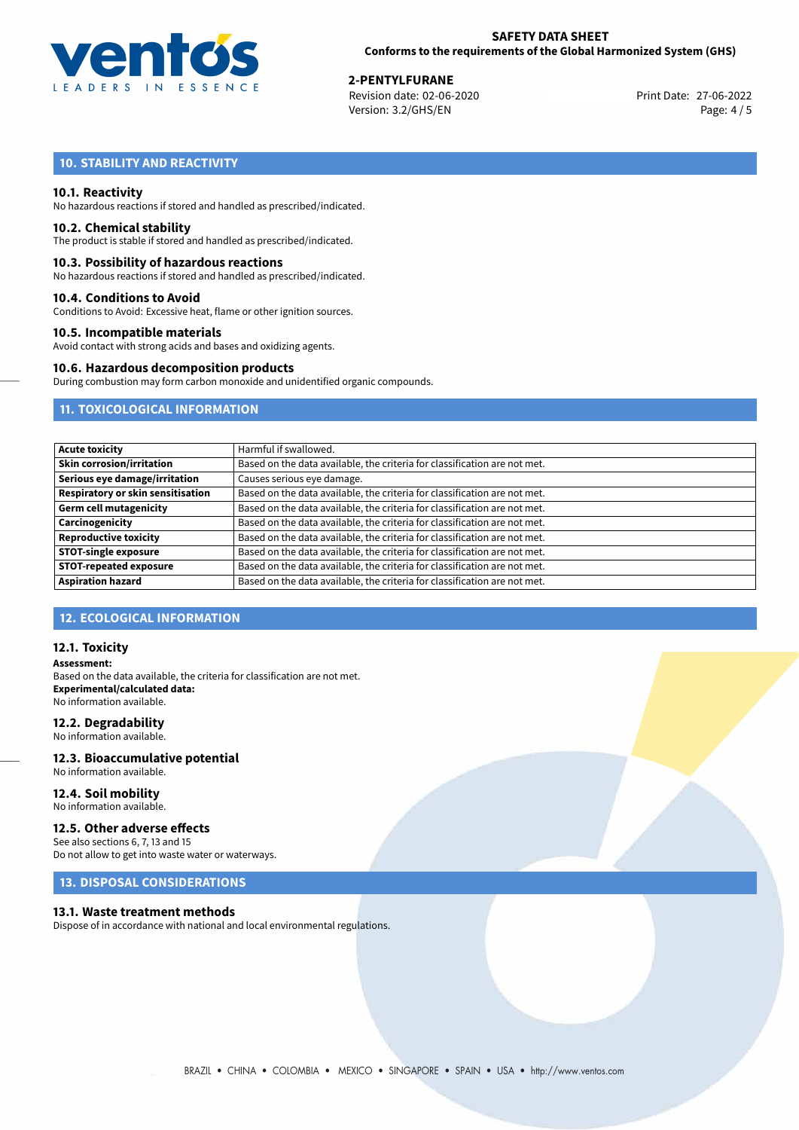

27-06-2022 **2-PENTYLFURANE** Revision date: 02-06-2020 Print Date: Version: 3.2/GHS/EN Page: 4 / 5

# **10. STABILITY AND REACTIVITY**

#### **10.1. Reactivity**

No hazardous reactions if stored and handled as prescribed/indicated.

#### **10.2. Chemical stability**

The product is stable if stored and handled as prescribed/indicated.

#### **10.3. Possibility of hazardous reactions**

No hazardous reactions if stored and handled as prescribed/indicated.

#### **10.4. Conditions to Avoid**

Conditions to Avoid: Excessive heat, flame or other ignition sources.

#### **10.5. Incompatible materials**

Avoid contact with strong acids and bases and oxidizing agents.

#### **10.6. Hazardous decomposition products**

During combustion may form carbon monoxide and unidentified organic compounds.

# **11. TOXICOLOGICAL INFORMATION**

| <b>Acute toxicity</b>                    | Harmful if swallowed.                                                     |  |  |
|------------------------------------------|---------------------------------------------------------------------------|--|--|
| <b>Skin corrosion/irritation</b>         | Based on the data available, the criteria for classification are not met. |  |  |
| Serious eye damage/irritation            | Causes serious eye damage.                                                |  |  |
| <b>Respiratory or skin sensitisation</b> | Based on the data available, the criteria for classification are not met. |  |  |
| <b>Germ cell mutagenicity</b>            | Based on the data available, the criteria for classification are not met. |  |  |
| Carcinogenicity                          | Based on the data available, the criteria for classification are not met. |  |  |
| <b>Reproductive toxicity</b>             | Based on the data available, the criteria for classification are not met. |  |  |
| <b>STOT-single exposure</b>              | Based on the data available, the criteria for classification are not met. |  |  |
| <b>STOT-repeated exposure</b>            | Based on the data available, the criteria for classification are not met. |  |  |
| <b>Aspiration hazard</b>                 | Based on the data available, the criteria for classification are not met. |  |  |

# **12. ECOLOGICAL INFORMATION**

#### **12.1. Toxicity**

**Assessment:** Based on the data available, the criteria for classification are not met. **Experimental/calculated data:** No information available.

#### **12.2. Degradability**

No information available.

#### **12.3. Bioaccumulative potential** No information available.

**12.4. Soil mobility**

# No information available.

#### **12.5. Other adverse effects**

See also sections 6, 7, 13 and 15 Do not allow to get into waste water or waterways.

## **13. DISPOSAL CONSIDERATIONS**

#### **13.1. Waste treatment methods**

Dispose of in accordance with national and local environmental regulations.